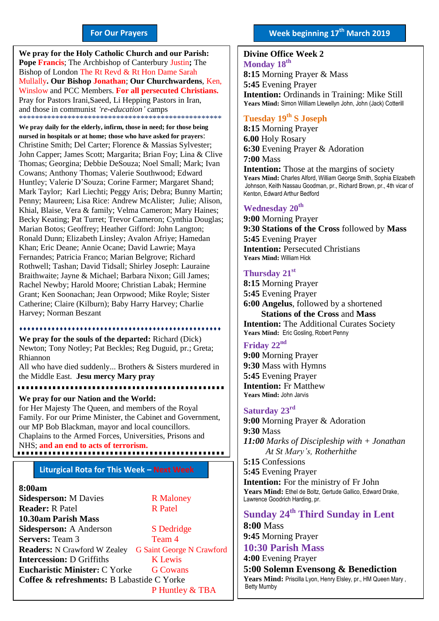#### **For Our Prayers**

arted Mullally**. Our Bishop Jonathan**; **Our Churchwardens**, Ken, **We pray for the Holy Catholic Church and our Parish: Pope Francis**; The Archbishop of Canterbury Justin**;** The Bishop of London The Rt Revd & Rt Hon Dame Sarah Winslow and PCC Members. **For all persecuted Christians.** Pray for Pastors Irani,Saeed, Li Hepping Pastors in Iran, and those in communist *'re-education'* camps \*\*\*\*\*\*\*\*\*\*\*\*\*\*\*\*\*\*\*\*\*\*\*\*\*\*\*\*\*\*\*\*\*\*\*\*\*\*\*\*\*\*\*\*\*\*\*\*\*\*

**We pray daily for the elderly, infirm, those in need; for those being nursed in hospitals or at home; those who have asked for prayers**: Christine Smith; Del Carter; Florence & Massias Sylvester; John Capper; James Scott; Margarita; Brian Foy; Lina & Clive Thomas; Georgina; Debbie DeSouza; Noel Small; Mark; Ivan Cowans; Anthony Thomas; Valerie Southwood; Edward Huntley; Valerie D'Souza; Corine Farmer; Margaret Shand; Mark Taylor; Karl Liechti; Peggy Aris; Debra; Bunny Martin; Penny; Maureen; Lisa Rice: Andrew McAlister; Julie; Alison, Khial, Blaise, Vera & family; Velma Cameron; Mary Haines; Becky Keating; Pat Turret; Trevor Cameron; Cynthia Douglas; Marian Botos; Geoffrey; Heather Gifford: John Langton; Ronald Dunn; Elizabeth Linsley; Avalon Afriye; Hamedan Khan; Eric Deane; Annie Ocane; David Lawrie; Maya Fernandes; Patricia Franco; Marian Belgrove; Richard Rothwell; Tashan; David Tidsall; Shirley Joseph: Lauraine Braithwaite; Jayne & Michael; Barbara Nixon; Gill James; Rachel Newby; Harold Moore; Christian Labak; Hermine Grant; Ken Soonachan; Jean Orpwood; Mike Royle; Sister Catherine; Claire (Kilburn); Baby Harry Harvey; Charlie Harvey; Norman Beszant

#### \*\*\*\*\*\*\*\*\*\*\*\*\*\*\*

**We pray for the souls of the departed:** Richard (Dick) Newton; Tony Notley; Pat Beckles; Reg Duguid, pr.; Greta; Rhiannon

All who have died suddenly... Brothers & Sisters murdered in the Middle East. **Jesu mercy Mary pray**

. . . . . . . . . . . . . . . . . . . .

**We pray for our Nation and the World:** for Her Majesty The Queen, and members of the Royal Family. For our Prime Minister, the Cabinet and Government, our MP Bob Blackman, mayor and local councillors. Chaplains to the Armed Forces, Universities, Prisons and NHS; **and an end to acts of terrorism.**

#### . . . . . . . . . . . .

#### **Liturgical Rota for This Week – Next Week**

#### **8:00am**

| <b>Sidesperson: M Davies</b>               | <b>R</b> Maloney                 |
|--------------------------------------------|----------------------------------|
| <b>Reader: R Patel</b>                     | <b>R</b> Patel                   |
| 10.30am Parish Mass                        |                                  |
| <b>Sidesperson: A Anderson</b>             | S Dedridge                       |
| <b>Servers: Team 3</b>                     | Team 4                           |
| <b>Readers:</b> N Crawford W Zealey        | <b>G Saint George N Crawford</b> |
| <b>Intercession: D Griffiths</b>           | <b>K</b> Lewis                   |
| <b>Eucharistic Minister: C Yorke</b>       | <b>G</b> Cowans                  |
| Coffee & refreshments: B Labastide C Yorke |                                  |
|                                            | P Huntley & TBA                  |

# **Divine Office Week 2 Monday 18 th**

**8:15** Morning Prayer & Mass **5:45** Evening Prayer **Intention:** Ordinands in Training: Mike Still **Years Mind:** Simon William Llewellyn John, John (Jack) Cotterill

# **Tuesday 19 th S Joseph**

**8:15** Morning Prayer **6.00** Holy Rosary **6:30** Evening Prayer & Adoration **7:00** Mass **Intention:** Those at the margins of society **Years Mind:** Charles Alford, William George Smith, Sophia Elizabeth Johnson, Keith Nassau Goodman, pr., Richard Brown, pr., 4th vicar of Kenton, Edward Arthur Bedford

#### **Wednesday 20th**

**9:00** Morning Prayer **9:30 Stations of the Cross** followed by **Mass 5:45** Evening Prayer **Intention: Persecuted Christians Years Mind:** William Hick

#### **Thursday 21 st**

**8:15** Morning Prayer **5:45** Evening Prayer **6:00 Angelus**, followed by a shortened  **Stations of the Cross** and **Mass Intention:** The Additional Curates Society **Years Mind:** Eric Gosling, Robert Penny

## **Friday 22nd**

**9:00** Morning Prayer **9:30** Mass with Hymns **5:45** Evening Prayer **Intention:** Fr Matthew **Years Mind:** John Jarvis

#### **Saturday 23rd**

**9:00** Morning Prayer & Adoration **9:30** Mass *11:00 Marks of Discipleship with + Jonathan At St Mary's, Rotherhithe* **5:15** Confessions **5:45** Evening Prayer **Intention:** For the ministry of Fr John

**Years Mind:** Ethel de Boltz, Gertude Gallico, Edward Drake, Lawrence Goodrich Harding, pr.

# **Sunday 24th Third Sunday in Lent**

**8:00** Mass **9:45** Morning Prayer

## **10:30 Parish Mass**

**4:00** Evening Prayer

**5:00 Solemn Evensong & Benediction** Years Mind: Priscilla Lyon, Henry Elsley, pr., HM Queen Mary, Betty Mumby